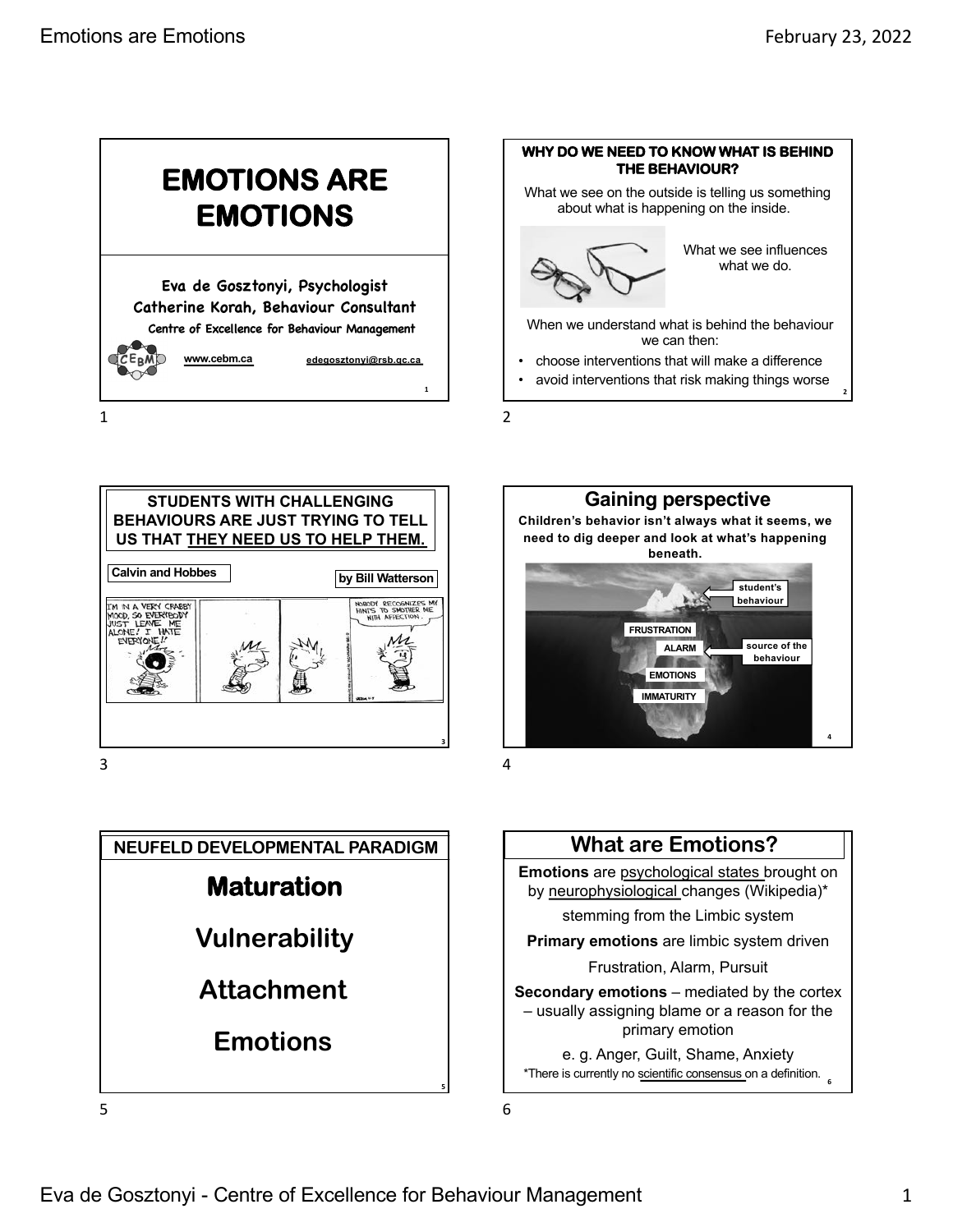



**STUDENTS WITH CHALLENGING BEHAVIOURS ARE JUST TRYING TO TELL US THAT THEY NEED US TO HELP THEM. by Bill Watterson Calvin and Hobbes** IM IN A VERY CRABBY<br>MOOD, SO EVERYBODY<br>JUST LEAVE ME<br>ALONE! I HATE **3**

3







5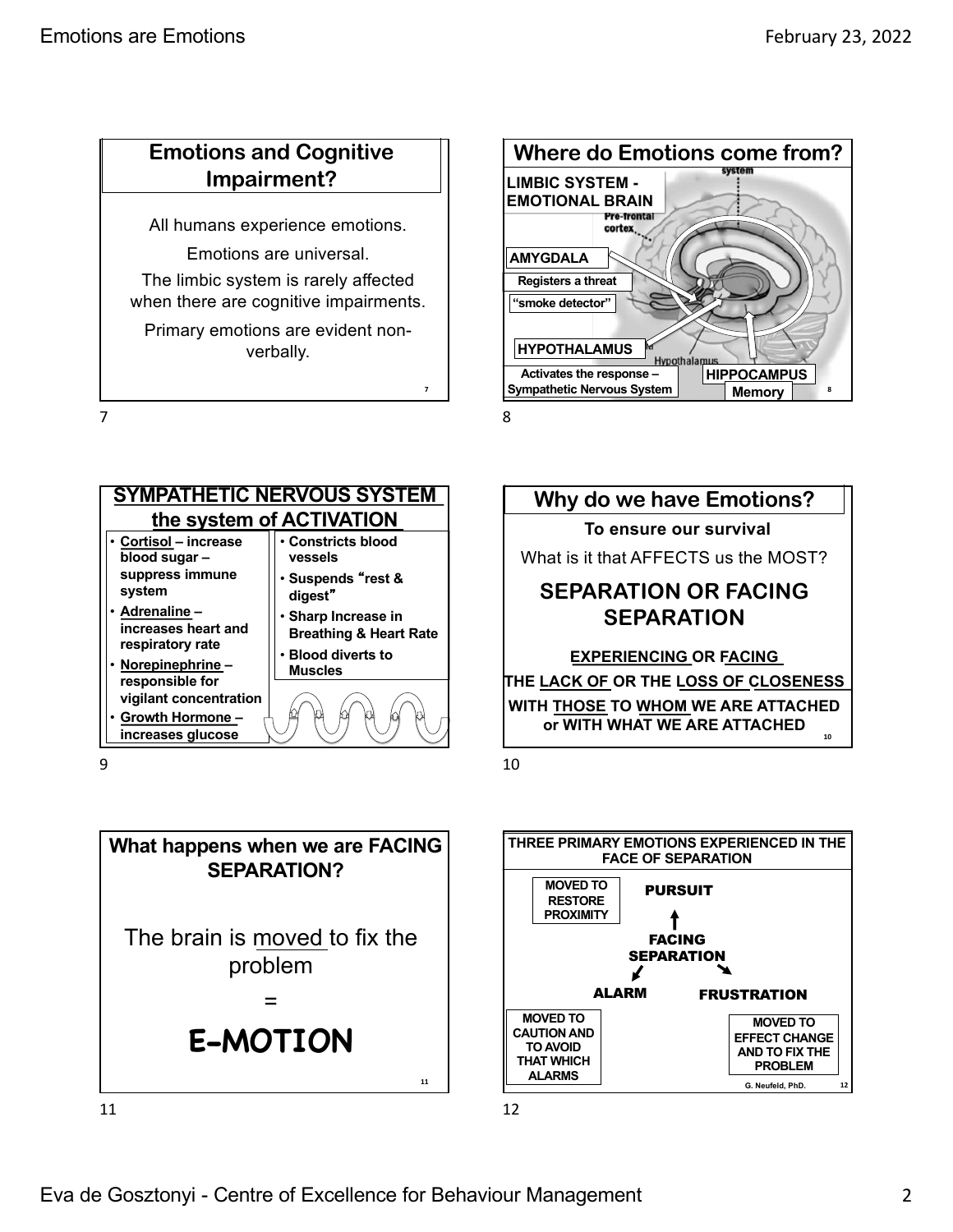## **Emotions and Cognitive Impairment?**

All humans experience emotions.

Emotions are universal.

The limbic system is rarely affected when there are cognitive impairments.

Primary emotions are evident nonverbally.

7



8

**7**



9







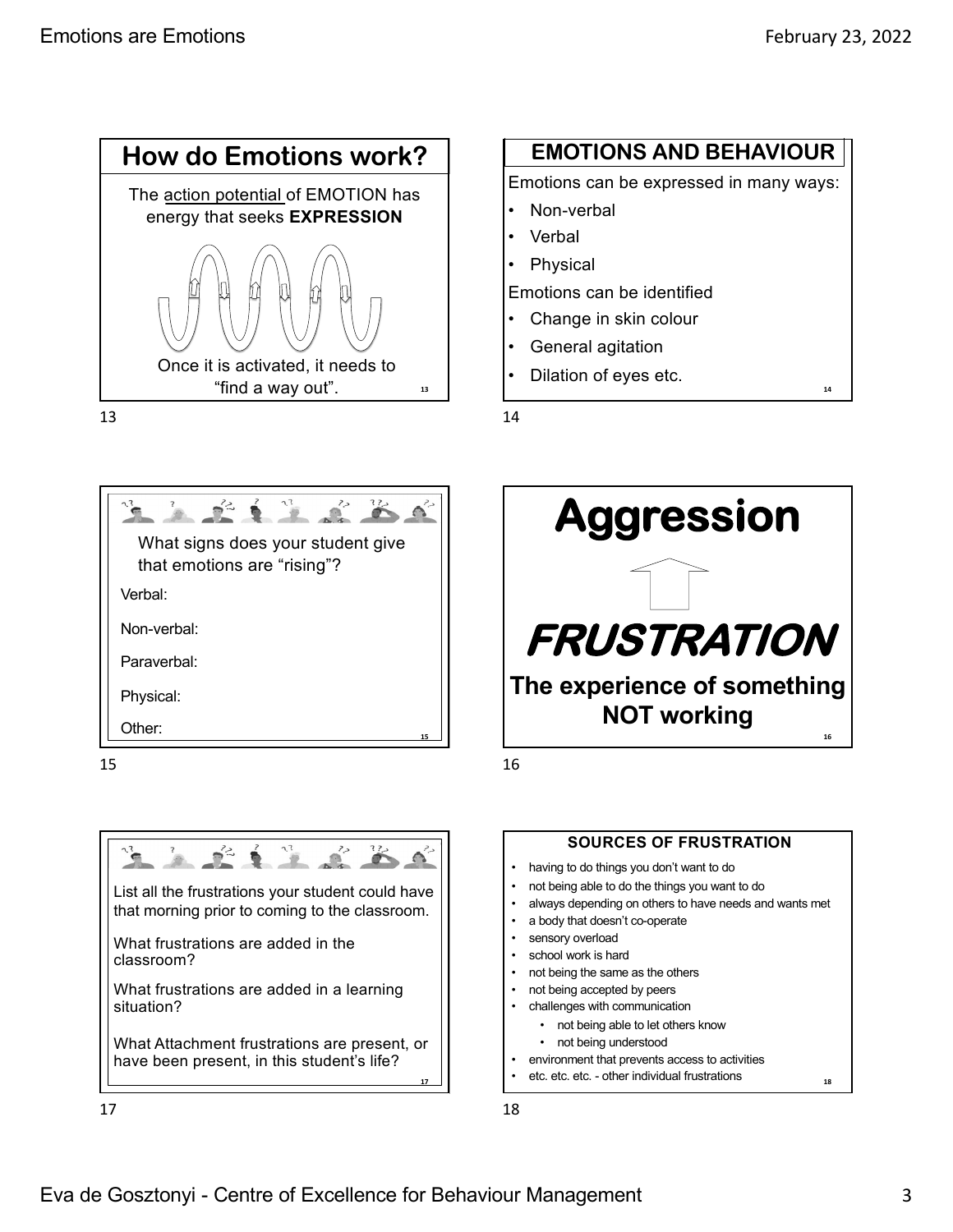

#### 13

# **EMOTIONS AND BEHAVIOUR**

Emotions can be expressed in many ways:

- Non-verbal
- Verbal
- **Physical**

Emotions can be identified

- Change in skin colour
- General agitation
- Dilation of eyes etc.

14





16



15



List all the frustrations your student could have that morning prior to coming to the classroom.

What frustrations are added in the

classroom?

 $\blacksquare$ 

 $\sum_{i=1}^{n}$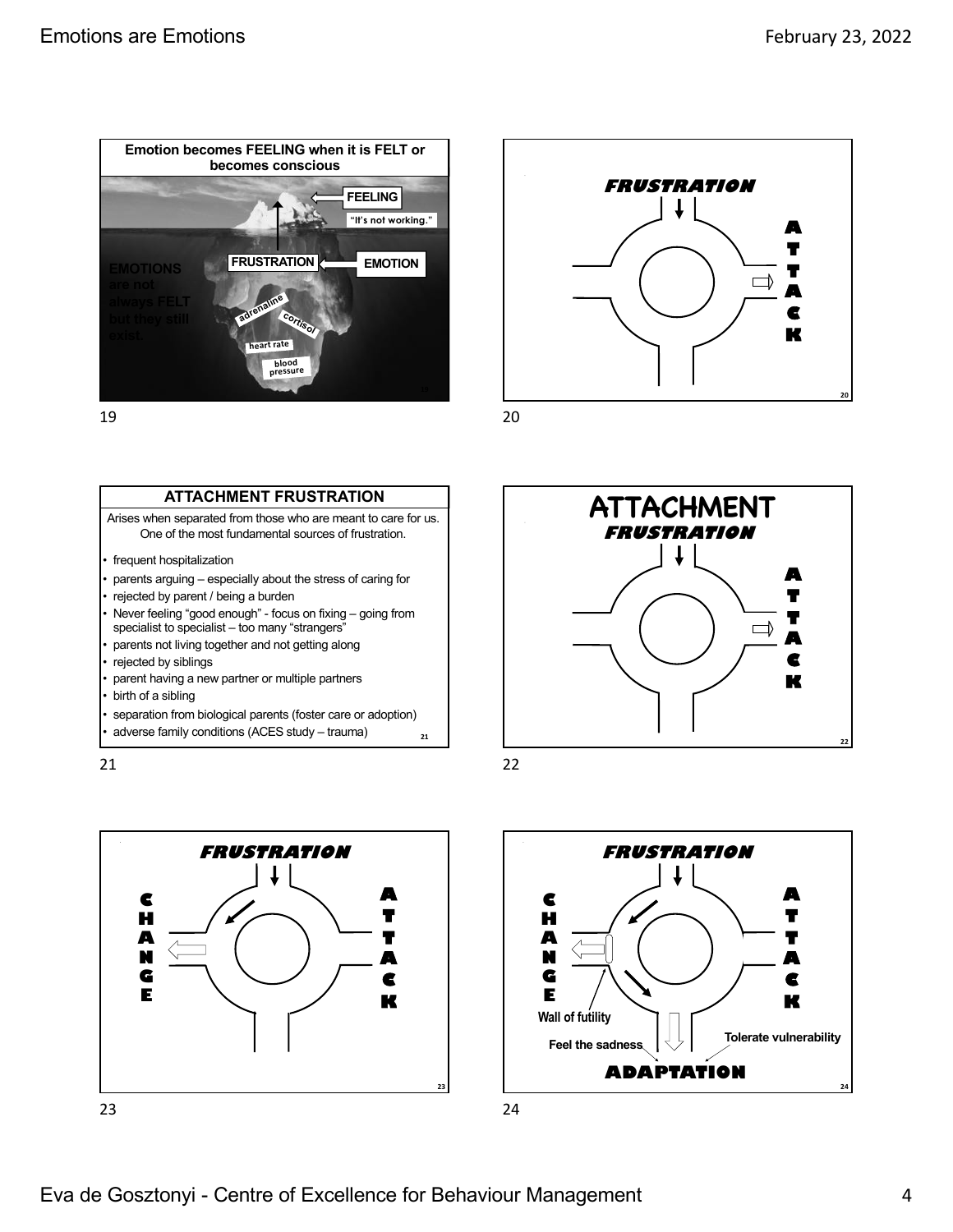**A T T A C K**

 $\Box$ 



19

### **ATTACHMENT FRUSTRATION**

Arises when separated from those who are meant to care for us. One of the most fundamental sources of frustration.

- frequent hospitalization
- parents arguing especially about the stress of caring for
- rejected by parent / being a burden
- Never feeling "good enough" focus on fixing going from specialist to specialist – too many "strangers"
- parents not living together and not getting along
- rejected by siblings
- parent having a new partner or multiple partners
- birth of a sibling
- separation from biological parents (foster care or adoption)
- adverse family conditions (ACES study trauma)

21







**FRUSTRATION**

22

**21**

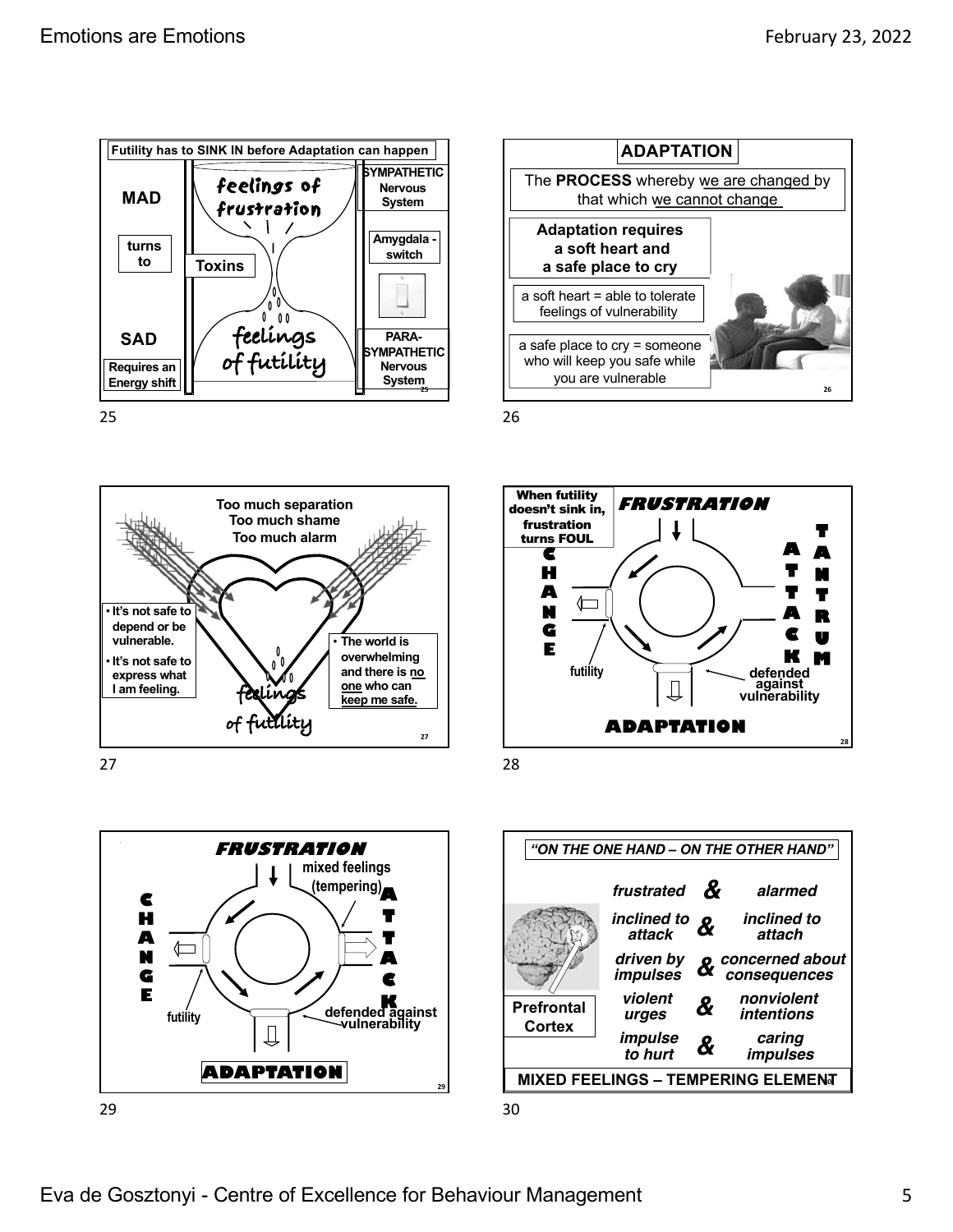



27



29





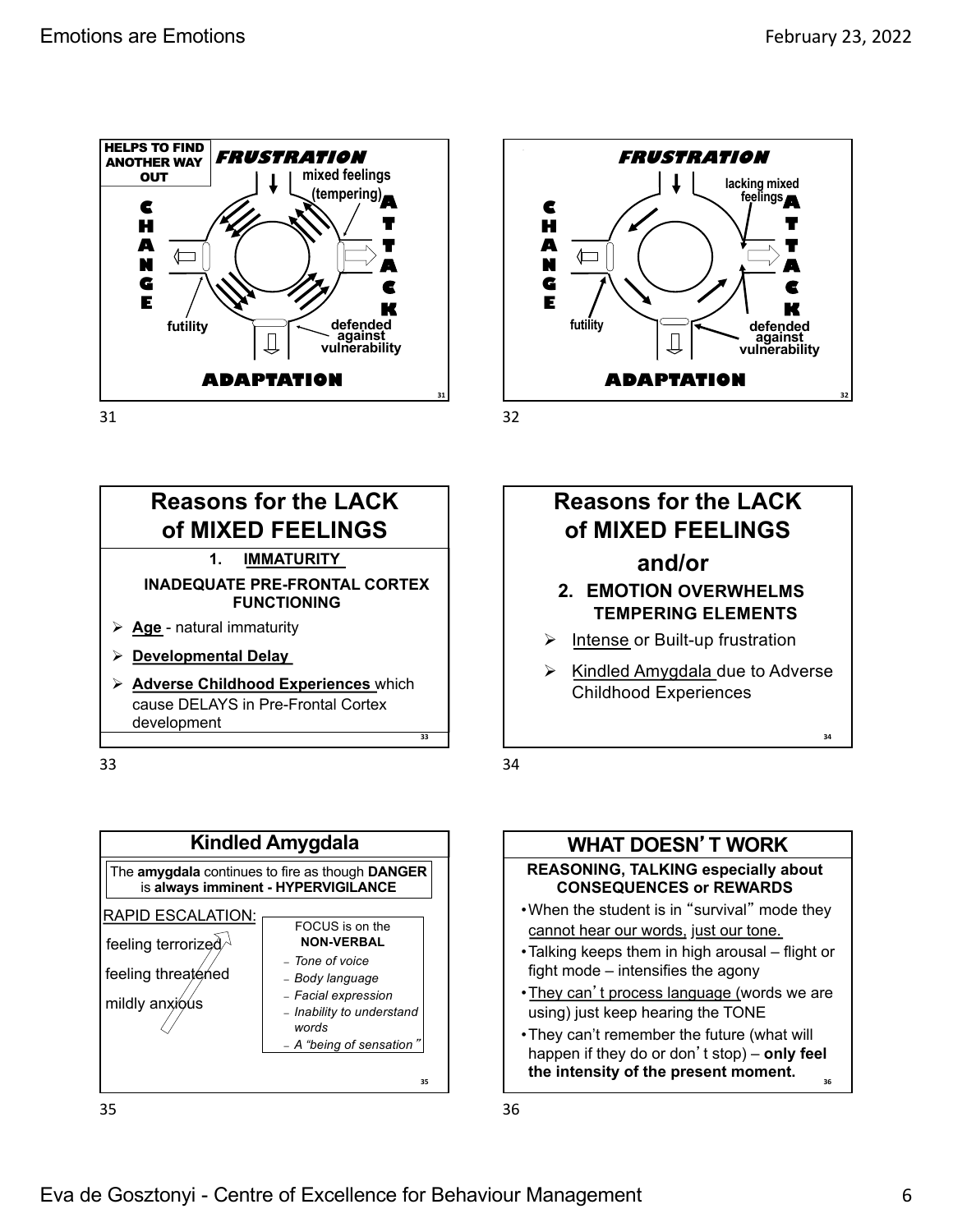





**31**



33





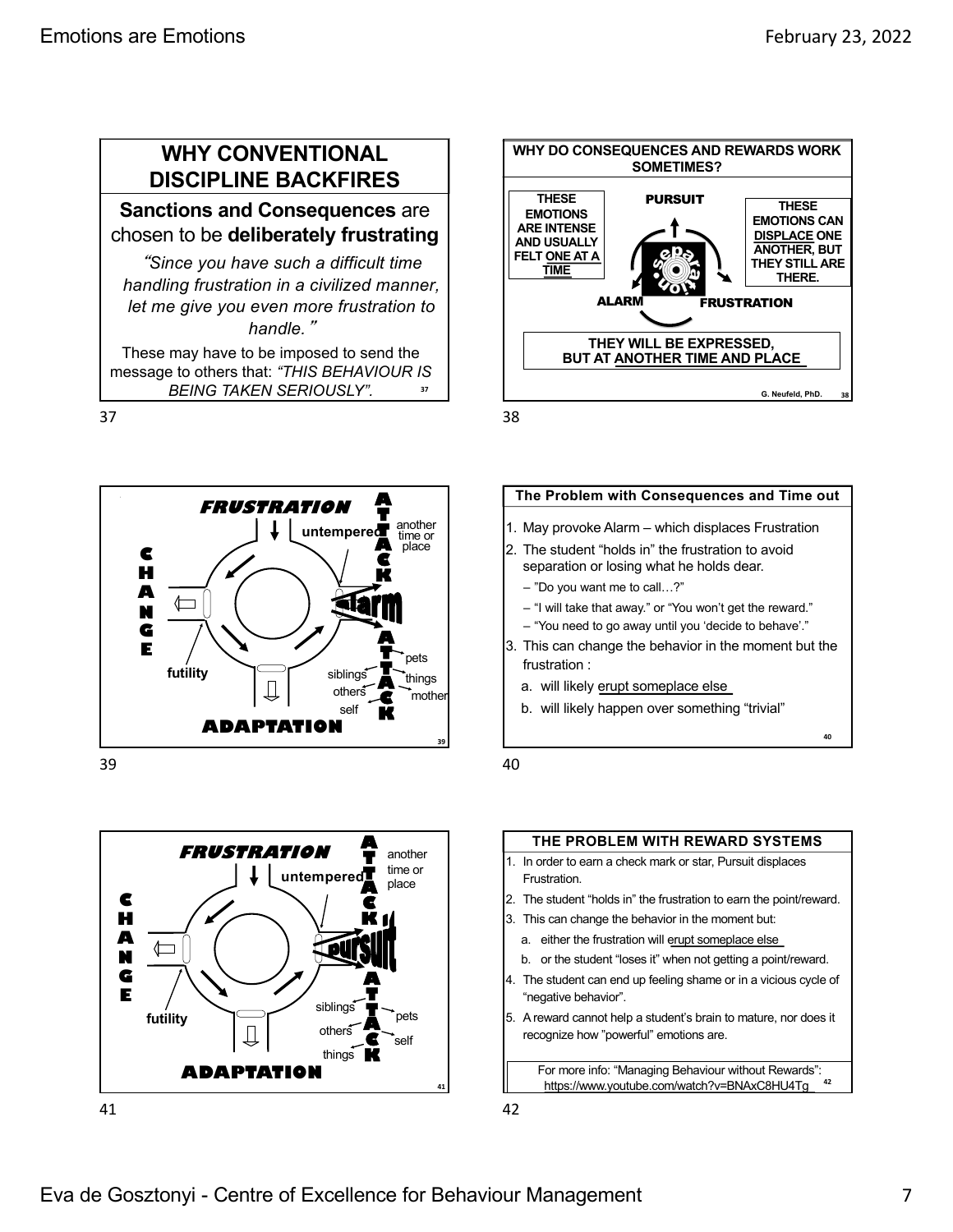# **WHY CONVENTIONAL DISCIPLINE BACKFIRES**

## **Sanctions and Consequences** are chosen to be **deliberately frustrating**

*Since you have such a difficult time handling frustration in a civilized manner, let me give you even more frustration to handle.*-

These may have to be imposed to send the message to others that: *"THIS BEHAVIOUR IS BEING TAKEN SERIOUSLY".* **<sup>37</sup>**

37



39





38



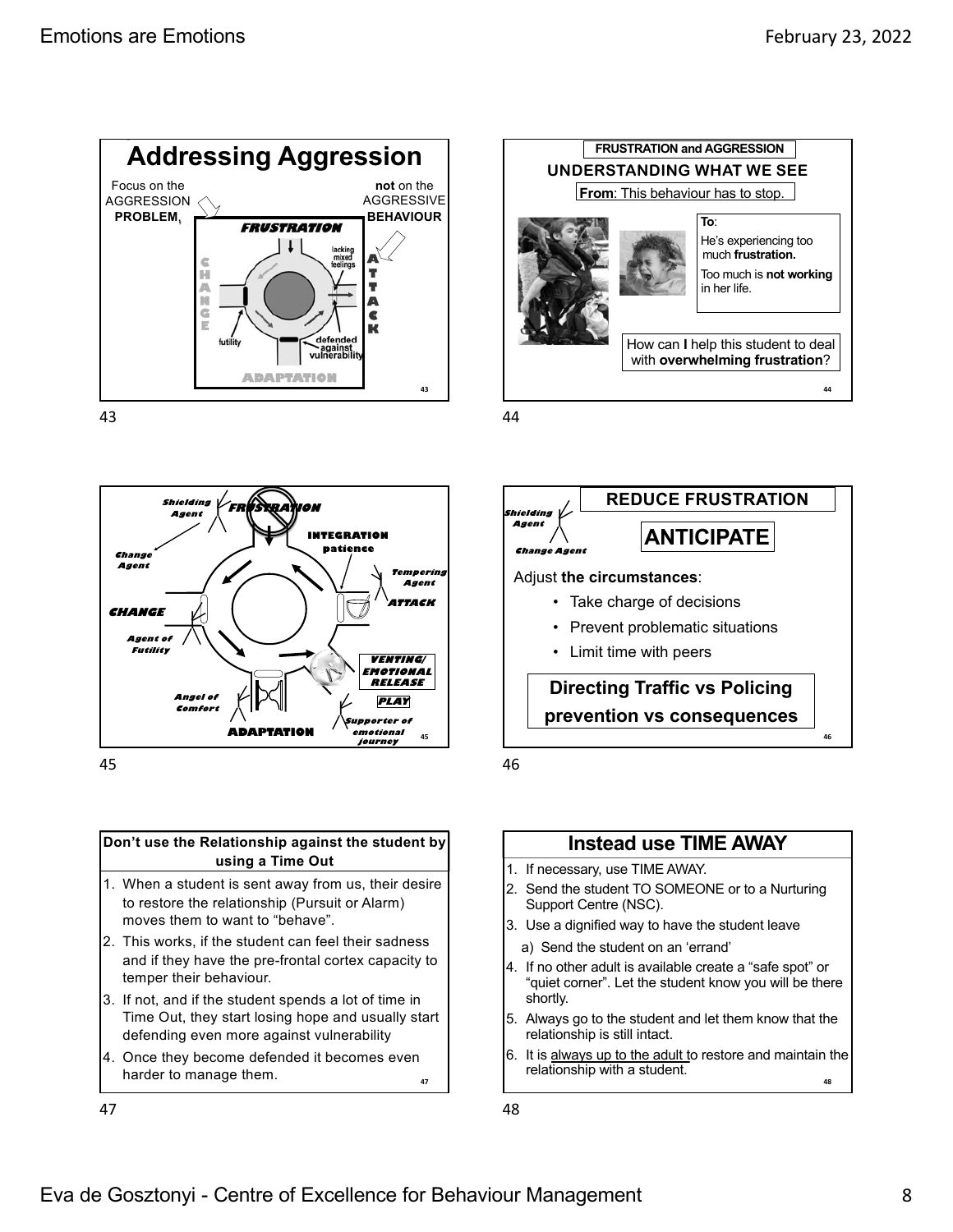



45

#### **Don't use the Relationship against the student by using a Time Out**

- 1. When a student is sent away from us, their desire to restore the relationship (Pursuit or Alarm) moves them to want to "behave".
- 2. This works, if the student can feel their sadness and if they have the pre-frontal cortex capacity to temper their behaviour.
- 3. If not, and if the student spends a lot of time in Time Out, they start losing hope and usually start defending even more against vulnerability
- 4. Once they become defended it becomes even harder to manage them.

47



44





## **Instead use TIME AWAY**

- 1. If necessary, use TIME AWAY.
- 2. Send the student TO SOMEONE or to a Nurturing Support Centre (NSC).
- 3. Use a dignified way to have the student leave
- a) Send the student on an 'errand'
- 4. If no other adult is available create a "safe spot" or "quiet corner". Let the student know you will be there shortly.
- 5. Always go to the student and let them know that the relationship is still intact.
- 6. It is always up to the adult to restore and maintain the relationship with a student. **48**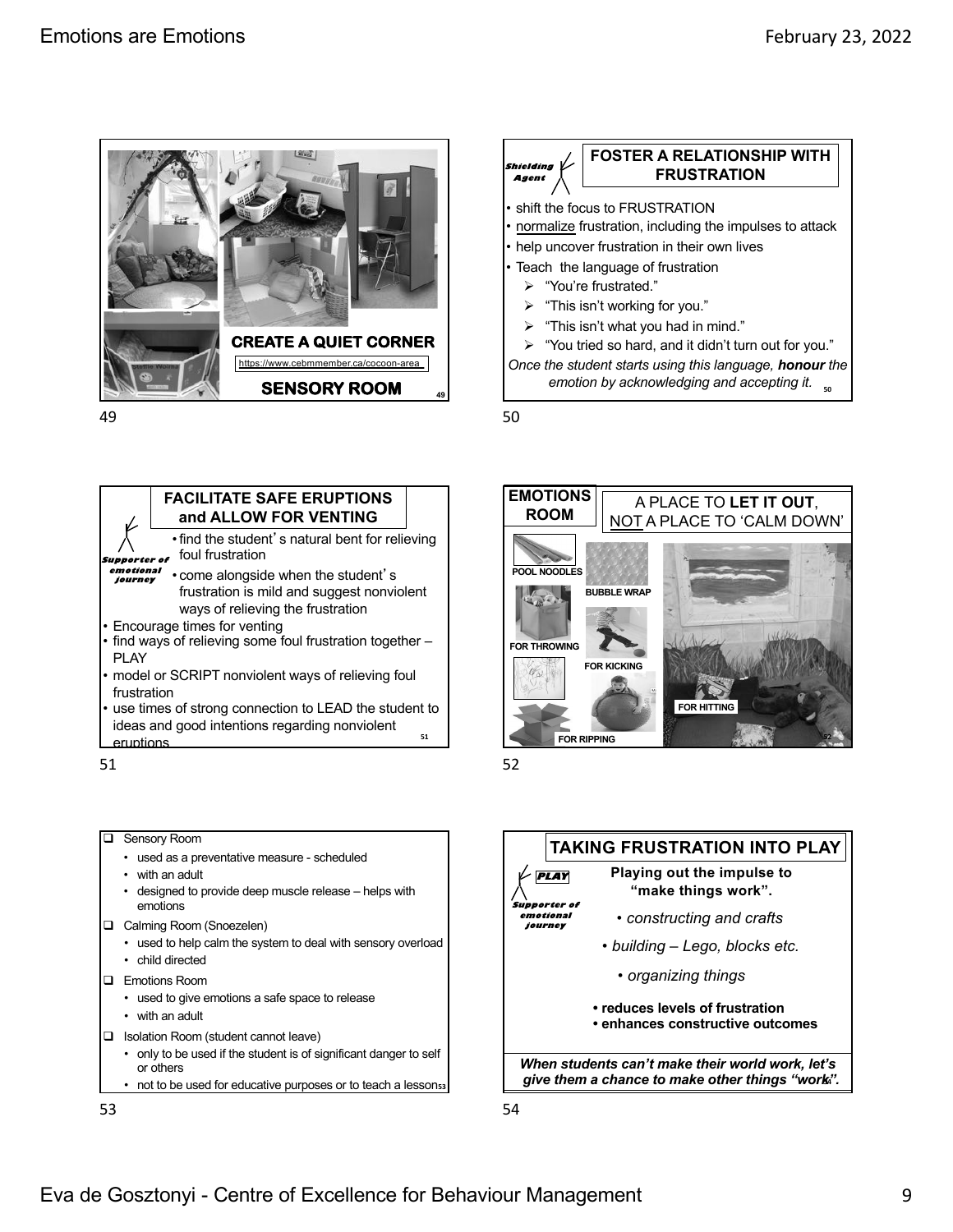



• find the student's natural bent for relieving foul frustration • come alongside when the student's frustration is mild and suggest nonviolent ways of relieving the frustration • Encourage times for venting find ways of relieving some foul frustration together -PLAY model or SCRIPT nonviolent ways of relieving foul frustration ideas and good intentions regarding nonviolent **Supporter of emotional journey FACILITATE SAFE ERUPTIONS and ALLOW FOR VENTING 51**





# use times of strong connection to LEAD the student to eruptions 51 52 **Q** Sensory Room

- used as a preventative measure scheduled
- with an adult
- designed to provide deep muscle release helps with emotions
- **Q** Calming Room (Snoezelen)
	- used to help calm the system to deal with sensory overload
	- child directed
- **Q** Emotions Room
	- used to give emotions a safe space to release
	- with an adult
- □ Isolation Room (student cannot leave)
	- only to be used if the student is of significant danger to self or others
	- not to be used for educative purposes or to teach a lesson<sub>53</sub>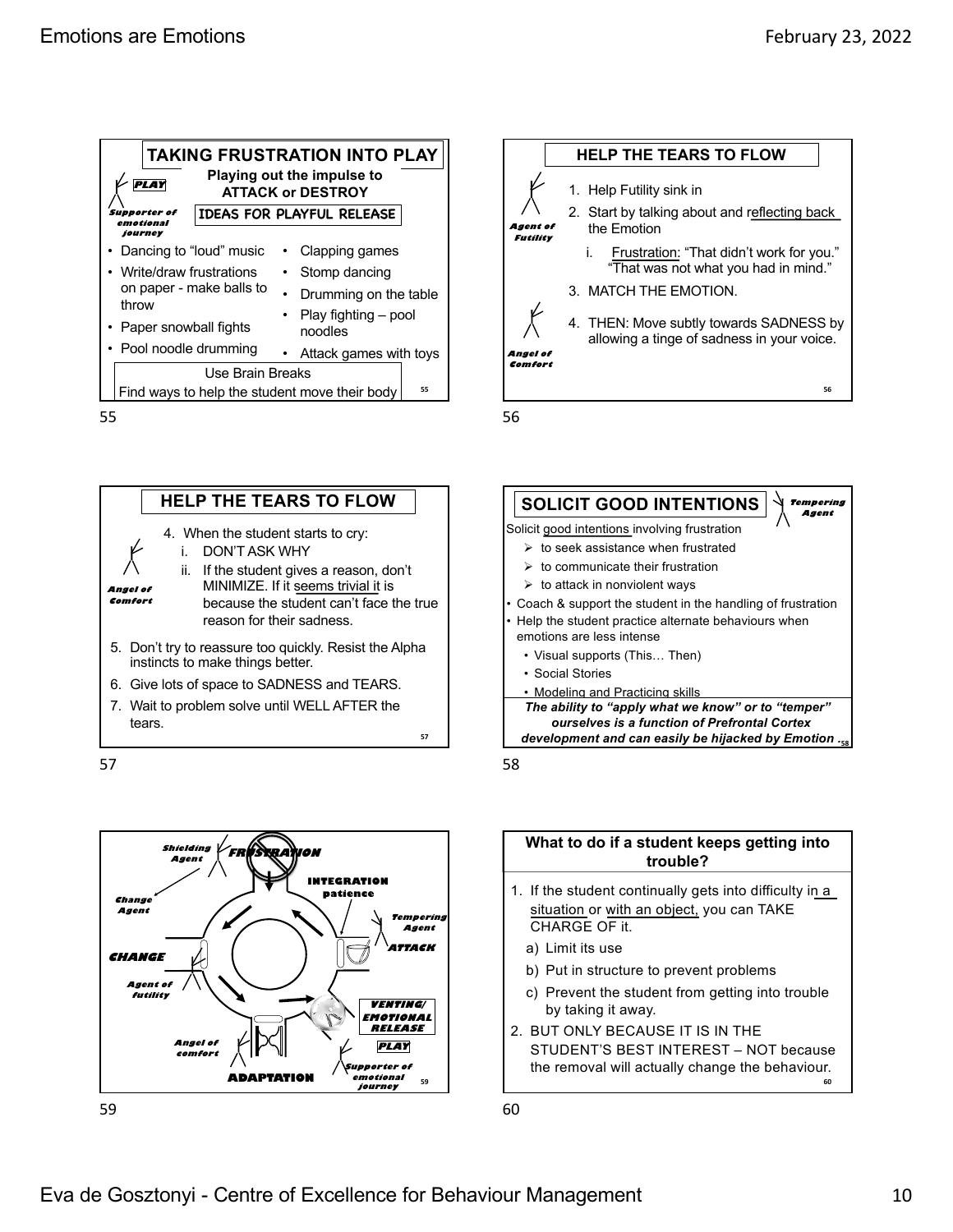| <b>TAKING FRUSTRATION INTO PLAY</b><br><b>Playing out the impulse to</b> |                          |                         |                                  |  |  |
|--------------------------------------------------------------------------|--------------------------|-------------------------|----------------------------------|--|--|
|                                                                          | <b>ATTACK or DESTROY</b> |                         |                                  |  |  |
| Supporter of<br>emotional                                                |                          |                         | <b>IDEAS FOR PLAYFUL RELEASE</b> |  |  |
| journey                                                                  |                          |                         |                                  |  |  |
| Dancing to "loud" music                                                  |                          |                         | Clapping games                   |  |  |
| • Write/draw frustrations<br>on paper - make balls to<br>throw           |                          | Stomp dancing           |                                  |  |  |
|                                                                          |                          | • Drumming on the table |                                  |  |  |
|                                                                          |                          | Play fighting – pool    |                                  |  |  |
| Paper snowball fights                                                    |                          |                         | noodles                          |  |  |
| • Pool noodle drumming                                                   |                          |                         | Attack games with toys           |  |  |
| Use Brain Breaks                                                         |                          |                         |                                  |  |  |
| 55<br>Find ways to help the student move their body                      |                          |                         |                                  |  |  |









56





#### **What to do if a student keeps getting into trouble?**

- 1. If the student continually gets into difficulty in a situation or with an object, you can TAKE CHARGE OF it.
	- a) Limit its use
	- b) Put in structure to prevent problems
	- c) Prevent the student from getting into trouble by taking it away.
- 2. BUT ONLY BECAUSE IT IS IN THE STUDENT'S BEST INTEREST – NOT because the removal will actually change the behaviour.**60**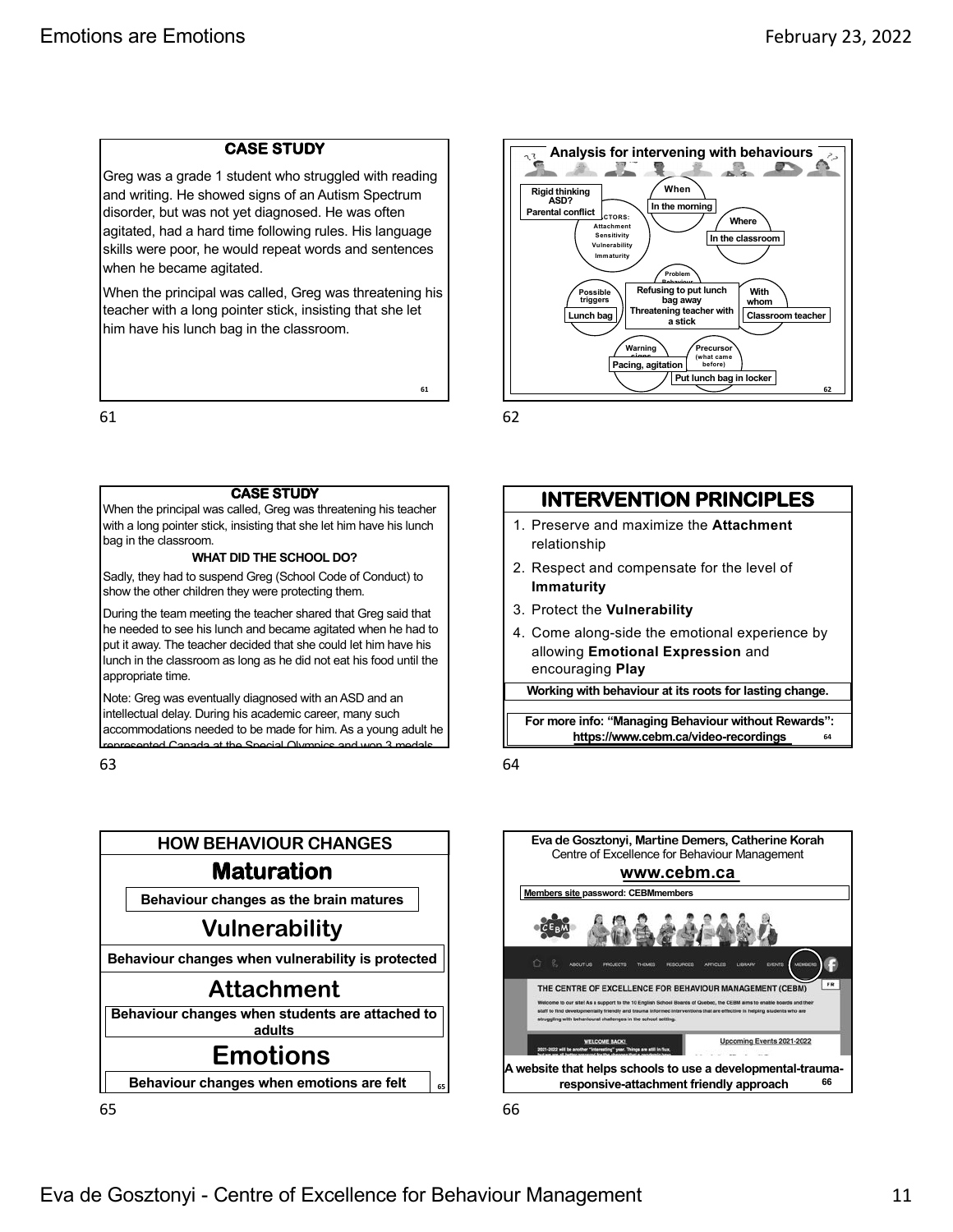#### **CASE STUDY**

Greg was a grade 1 student who struggled with reading and writing. He showed signs of an Autism Spectrum disorder, but was not yet diagnosed. He was often agitated, had a hard time following rules. His language skills were poor, he would repeat words and sentences when he became agitated.

When the principal was called, Greg was threatening his teacher with a long pointer stick, insisting that she let him have his lunch bag in the classroom.

61

#### **CASE STUDY**

When the principal was called, Greg was threatening his teacher with a long pointer stick, insisting that she let him have his lunch bag in the classroom.

#### **WHAT DID THE SCHOOL DO?**

Sadly, they had to suspend Greg (School Code of Conduct) to show the other children they were protecting them.

During the team meeting the teacher shared that Greg said that he needed to see his lunch and became agitated when he had to put it away. The teacher decided that she could let him have his lunch in the classroom as long as he did not eat his food until the appropriate time.

**63** accommodations needed to be made for him. As a young adult he Note: Greg was eventually diagnosed with an ASD and an intellectual delay. During his academic career, many such [represented Canada at the Special O](https://www.cebm.ca/video-recordings)lympics and won 3 medals.

63



65



62

**61**